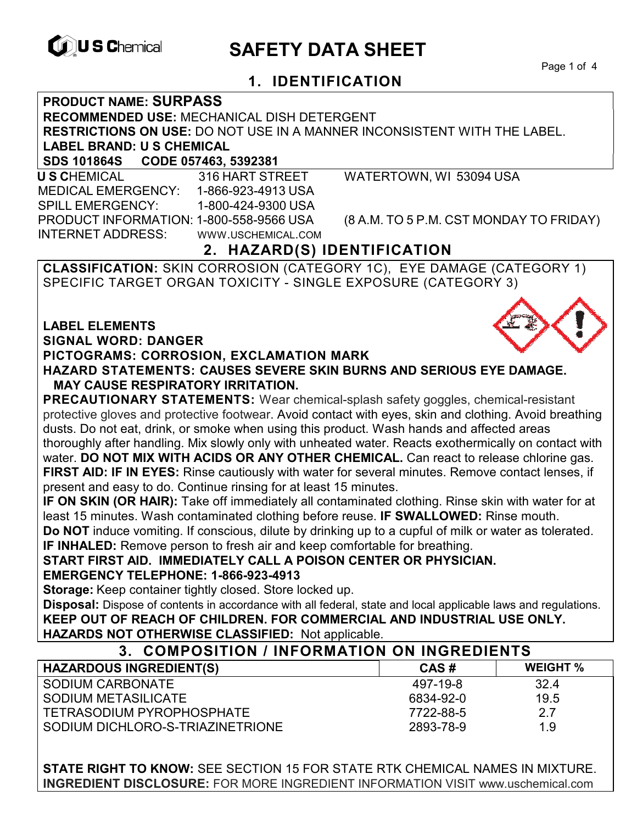

# **EXAGREM** SAFETY DATA SHEET

Page 1 of 4

# **1. IDENTIFICATION**

## **PRODUCT NAME: SURPASS**

**RECOMMENDED USE:** MECHANICAL DISH DETERGENT

**RESTRICTIONS ON USE:** DO NOT USE IN A MANNER INCONSISTENT WITH THE LABEL.

#### **LABEL BRAND: U S CHEMICAL**

**SDS 101864S CODE 057463, 5392381** 

 **U S C**HEMICAL 316 HART STREET WATERTOWN, WI 53094 USA MEDICAL EMERGENCY: 1-866-923-4913 USA SPILL EMERGENCY: 1-800-424-9300 USA PRODUCT INFORMATION: 1-800-558-9566 USA (8 A.M. TO 5 P.M. CST MONDAY TO FRIDAY) INTERNET ADDRESS: WWW.USCHEMICAL.COM

# **2. HAZARD(S) IDENTIFICATION**

**CLASSIFICATION:** SKIN CORROSION (CATEGORY 1C), EYE DAMAGE (CATEGORY 1) SPECIFIC TARGET ORGAN TOXICITY - SINGLE EXPOSURE (CATEGORY 3)

**LABEL ELEMENTS SIGNAL WORD: DANGER PICTOGRAMS: CORROSION, EXCLAMATION MARK HAZARD STATEMENTS: CAUSES SEVERE SKIN BURNS AND SERIOUS EYE DAMAGE.** 

#### **MAY CAUSE RESPIRATORY IRRITATION.**

**PRECAUTIONARY STATEMENTS:** Wear chemical-splash safety goggles, chemical-resistant protective gloves and protective footwear. Avoid contact with eyes, skin and clothing. Avoid breathing dusts. Do not eat, drink, or smoke when using this product. Wash hands and affected areas thoroughly after handling. Mix slowly only with unheated water. Reacts exothermically on contact with water. **DO NOT MIX WITH ACIDS OR ANY OTHER CHEMICAL.** Can react to release chlorine gas. **FIRST AID: IF IN EYES:** Rinse cautiously with water for several minutes. Remove contact lenses, if present and easy to do. Continue rinsing for at least 15 minutes.

**IF ON SKIN (OR HAIR):** Take off immediately all contaminated clothing. Rinse skin with water for at least 15 minutes. Wash contaminated clothing before reuse. **IF SWALLOWED:** Rinse mouth.

**Do NOT** induce vomiting. If conscious, dilute by drinking up to a cupful of milk or water as tolerated. **IF INHALED:** Remove person to fresh air and keep comfortable for breathing.

**START FIRST AID. IMMEDIATELY CALL A POISON CENTER OR PHYSICIAN. EMERGENCY TELEPHONE: 1-866-923-4913** 

**Storage:** Keep container tightly closed. Store locked up.

**Disposal:** Dispose of contents in accordance with all federal, state and local applicable laws and regulations. **KEEP OUT OF REACH OF CHILDREN. FOR COMMERCIAL AND INDUSTRIAL USE ONLY. HAZARDS NOT OTHERWISE CLASSIFIED:** Not applicable.

| 3. COMPOSITION / INFORMATION ON INGREDIENTS |           |                 |
|---------------------------------------------|-----------|-----------------|
| <b>HAZARDOUS INGREDIENT(S)</b>              | CAS#      | <b>WEIGHT %</b> |
| SODIUM CARBONATE                            | 497-19-8  | 32.4            |
| SODIUM METASILICATE                         | 6834-92-0 | 19.5            |
| TETRASODIUM PYROPHOSPHATE                   | 7722-88-5 | 2.7             |
| SODIUM DICHLORO-S-TRIAZINETRIONE            | 2893-78-9 | 1.9             |

**STATE RIGHT TO KNOW:** SEE SECTION 15 FOR STATE RTK CHEMICAL NAMES IN MIXTURE. **INGREDIENT DISCLOSURE:** FOR MORE INGREDIENT INFORMATION VISIT www.uschemical.com

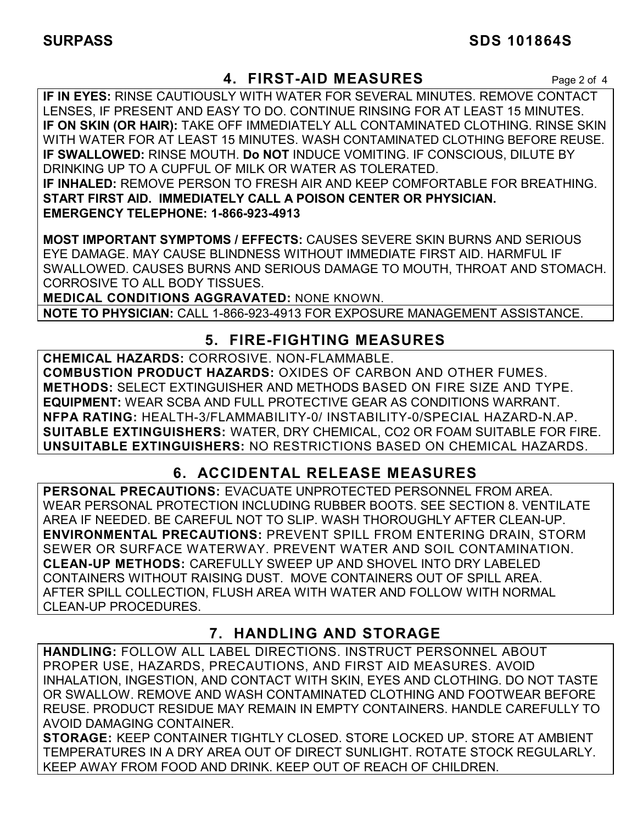## **4. FIRST-AID MEASURES** Page 2 of 4

**IF IN EYES:** RINSE CAUTIOUSLY WITH WATER FOR SEVERAL MINUTES. REMOVE CONTACT LENSES, IF PRESENT AND EASY TO DO. CONTINUE RINSING FOR AT LEAST 15 MINUTES. **IF ON SKIN (OR HAIR):** TAKE OFF IMMEDIATELY ALL CONTAMINATED CLOTHING. RINSE SKIN WITH WATER FOR AT LEAST 15 MINUTES. WASH CONTAMINATED CLOTHING BEFORE REUSE. **IF SWALLOWED:** RINSE MOUTH. **Do NOT** INDUCE VOMITING. IF CONSCIOUS, DILUTE BY DRINKING UP TO A CUPFUL OF MILK OR WATER AS TOLERATED. **IF INHALED:** REMOVE PERSON TO FRESH AIR AND KEEP COMFORTABLE FOR BREATHING. **START FIRST AID. IMMEDIATELY CALL A POISON CENTER OR PHYSICIAN. EMERGENCY TELEPHONE: 1-866-923-4913**

**MOST IMPORTANT SYMPTOMS / EFFECTS:** CAUSES SEVERE SKIN BURNS AND SERIOUS EYE DAMAGE. MAY CAUSE BLINDNESS WITHOUT IMMEDIATE FIRST AID. HARMFUL IF SWALLOWED. CAUSES BURNS AND SERIOUS DAMAGE TO MOUTH, THROAT AND STOMACH. CORROSIVE TO ALL BODY TISSUES.

**MEDICAL CONDITIONS AGGRAVATED:** NONE KNOWN.

**NOTE TO PHYSICIAN:** CALL 1-866-923-4913 FOR EXPOSURE MANAGEMENT ASSISTANCE.

## **5. FIRE-FIGHTING MEASURES**

**CHEMICAL HAZARDS:** CORROSIVE. NON-FLAMMABLE. **COMBUSTION PRODUCT HAZARDS:** OXIDES OF CARBON AND OTHER FUMES. **METHODS:** SELECT EXTINGUISHER AND METHODS BASED ON FIRE SIZE AND TYPE. **EQUIPMENT:** WEAR SCBA AND FULL PROTECTIVE GEAR AS CONDITIONS WARRANT. **NFPA RATING:** HEALTH-3/FLAMMABILITY-0/ INSTABILITY-0/SPECIAL HAZARD-N.AP. **SUITABLE EXTINGUISHERS:** WATER, DRY CHEMICAL, CO2 OR FOAM SUITABLE FOR FIRE. **UNSUITABLE EXTINGUISHERS:** NO RESTRICTIONS BASED ON CHEMICAL HAZARDS.

# **6. ACCIDENTAL RELEASE MEASURES**

**PERSONAL PRECAUTIONS:** EVACUATE UNPROTECTED PERSONNEL FROM AREA. WEAR PERSONAL PROTECTION INCLUDING RUBBER BOOTS. SEE SECTION 8. VENTILATE AREA IF NEEDED. BE CAREFUL NOT TO SLIP. WASH THOROUGHLY AFTER CLEAN-UP. **ENVIRONMENTAL PRECAUTIONS:** PREVENT SPILL FROM ENTERING DRAIN, STORM SEWER OR SURFACE WATERWAY. PREVENT WATER AND SOIL CONTAMINATION. **CLEAN-UP METHODS:** CAREFULLY SWEEP UP AND SHOVEL INTO DRY LABELED CONTAINERS WITHOUT RAISING DUST. MOVE CONTAINERS OUT OF SPILL AREA. AFTER SPILL COLLECTION, FLUSH AREA WITH WATER AND FOLLOW WITH NORMAL CLEAN-UP PROCEDURES.

# **7. HANDLING AND STORAGE**

**HANDLING:** FOLLOW ALL LABEL DIRECTIONS. INSTRUCT PERSONNEL ABOUT PROPER USE, HAZARDS, PRECAUTIONS, AND FIRST AID MEASURES. AVOID INHALATION, INGESTION, AND CONTACT WITH SKIN, EYES AND CLOTHING. DO NOT TASTE OR SWALLOW. REMOVE AND WASH CONTAMINATED CLOTHING AND FOOTWEAR BEFORE REUSE. PRODUCT RESIDUE MAY REMAIN IN EMPTY CONTAINERS. HANDLE CAREFULLY TO AVOID DAMAGING CONTAINER.

**STORAGE:** KEEP CONTAINER TIGHTLY CLOSED. STORE LOCKED UP. STORE AT AMBIENT TEMPERATURES IN A DRY AREA OUT OF DIRECT SUNLIGHT. ROTATE STOCK REGULARLY. KEEP AWAY FROM FOOD AND DRINK. KEEP OUT OF REACH OF CHILDREN.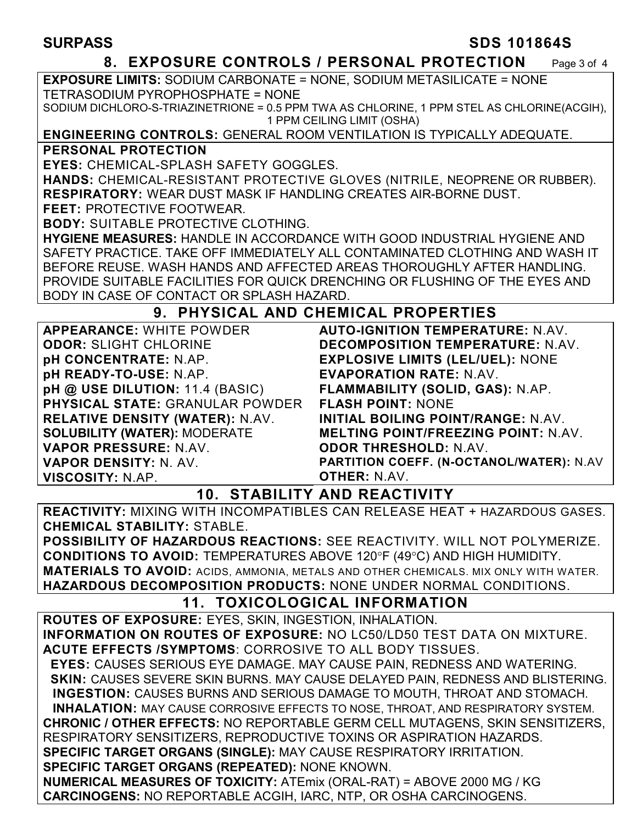#### **SURPASS SDS 101864S**

#### **8. EXPOSURE CONTROLS / PERSONAL PROTECTION** Page 3 of 4

**EXPOSURE LIMITS:** SODIUM CARBONATE = NONE, SODIUM METASILICATE = NONE TETRASODIUM PYROPHOSPHATE = NONE

SODIUM DICHLORO-S-TRIAZINETRIONE = 0.5 PPM TWA AS CHLORINE, 1 PPM STEL AS CHLORINE(ACGIH), 1 PPM CEILING LIMIT (OSHA)

#### **ENGINEERING CONTROLS:** GENERAL ROOM VENTILATION IS TYPICALLY ADEQUATE.

#### **PERSONAL PROTECTION**

**EYES:** CHEMICAL-SPLASH SAFETY GOGGLES.

**HANDS:** CHEMICAL-RESISTANT PROTECTIVE GLOVES (NITRILE, NEOPRENE OR RUBBER). **RESPIRATORY:** WEAR DUST MASK IF HANDLING CREATES AIR-BORNE DUST.

**FEET:** PROTECTIVE FOOTWEAR.

**BODY:** SUITABLE PROTECTIVE CLOTHING.

**HYGIENE MEASURES:** HANDLE IN ACCORDANCE WITH GOOD INDUSTRIAL HYGIENE AND SAFETY PRACTICE. TAKE OFF IMMEDIATELY ALL CONTAMINATED CLOTHING AND WASH IT BEFORE REUSE. WASH HANDS AND AFFECTED AREAS THOROUGHLY AFTER HANDLING. PROVIDE SUITABLE FACILITIES FOR QUICK DRENCHING OR FLUSHING OF THE EYES AND BODY IN CASE OF CONTACT OR SPLASH HAZARD.

## **9. PHYSICAL AND CHEMICAL PROPERTIES**

**APPEARANCE:** WHITE POWDER **ODOR: SLIGHT CHLORINE pH CONCENTRATE:** N.AP. **pH READY-TO-USE:** N.AP. **pH @ USE DILUTION:** 11.4 (BASIC) **PHYSICAL STATE:** GRANULAR POWDER **RELATIVE DENSITY (WATER):** N.AV. **SOLUBILITY (WATER):** MODERATE **VAPOR PRESSURE:** N.AV. **VAPOR DENSITY:** N. AV. **VISCOSITY:** N.AP.

**AUTO-IGNITION TEMPERATURE:** N.AV. **DECOMPOSITION TEMPERATURE:** N.AV. **EXPLOSIVE LIMITS (LEL/UEL):** NONE **EVAPORATION RATE:** N.AV. **FLAMMABILITY (SOLID, GAS):** N.AP. **FLASH POINT:** NONE **INITIAL BOILING POINT/RANGE:** N.AV. **MELTING POINT/FREEZING POINT:** N.AV. **ODOR THRESHOLD:** N.AV. **PARTITION COEFF. (N-OCTANOL/WATER):** N.AV **OTHER:** N.AV.

## **10. STABILITY AND REACTIVITY**

**REACTIVITY:** MIXING WITH INCOMPATIBLES CAN RELEASE HEAT + HAZARDOUS GASES. **CHEMICAL STABILITY:** STABLE.

**POSSIBILITY OF HAZARDOUS REACTIONS:** SEE REACTIVITY. WILL NOT POLYMERIZE. **CONDITIONS TO AVOID:** TEMPERATURES ABOVE 120°F (49°C) AND HIGH HUMIDITY. **MATERIALS TO AVOID:** ACIDS, AMMONIA, METALS AND OTHER CHEMICALS. MIX ONLY WITH WATER. **HAZARDOUS DECOMPOSITION PRODUCTS:** NONE UNDER NORMAL CONDITIONS.

# **11. TOXICOLOGICAL INFORMATION**

**ROUTES OF EXPOSURE:** EYES, SKIN, INGESTION, INHALATION. **INFORMATION ON ROUTES OF EXPOSURE:** NO LC50/LD50 TEST DATA ON MIXTURE. **ACUTE EFFECTS /SYMPTOMS**: CORROSIVE TO ALL BODY TISSUES.  **EYES:** CAUSES SERIOUS EYE DAMAGE. MAY CAUSE PAIN, REDNESS AND WATERING.  **SKIN:** CAUSES SEVERE SKIN BURNS. MAY CAUSE DELAYED PAIN, REDNESS AND BLISTERING. **INGESTION:** CAUSES BURNS AND SERIOUS DAMAGE TO MOUTH, THROAT AND STOMACH. **INHALATION:** MAY CAUSE CORROSIVE EFFECTS TO NOSE, THROAT, AND RESPIRATORY SYSTEM. **CHRONIC / OTHER EFFECTS:** NO REPORTABLE GERM CELL MUTAGENS, SKIN SENSITIZERS, RESPIRATORY SENSITIZERS, REPRODUCTIVE TOXINS OR ASPIRATION HAZARDS. **SPECIFIC TARGET ORGANS (SINGLE):** MAY CAUSE RESPIRATORY IRRITATION. **SPECIFIC TARGET ORGANS (REPEATED):** NONE KNOWN. **NUMERICAL MEASURES OF TOXICITY:** ATEmix (ORAL-RAT) = ABOVE 2000 MG / KG **CARCINOGENS:** NO REPORTABLE ACGIH, IARC, NTP, OR OSHA CARCINOGENS.